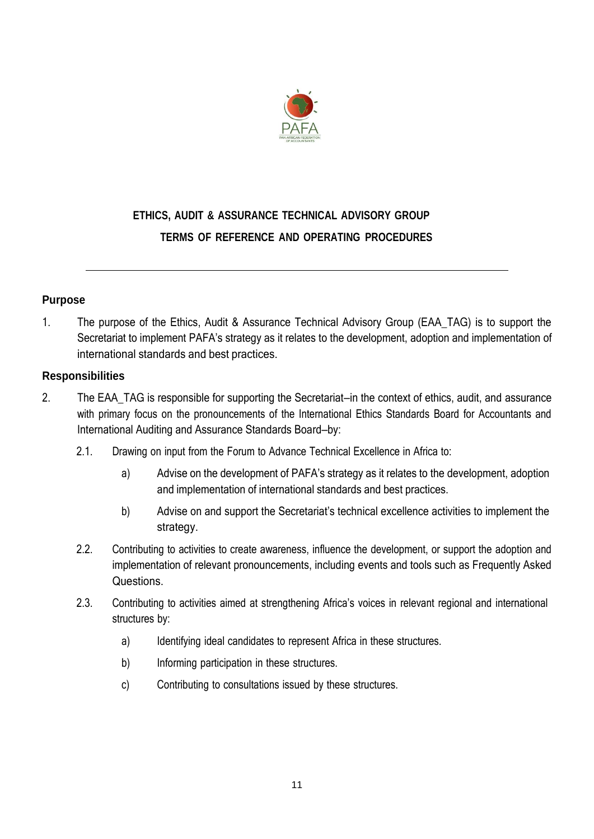

# **ETHICS, AUDIT & ASSURANCE TECHNICAL ADVISORY GROUP TERMS OF REFERENCE AND OPERATING PROCEDURES**

## **Purpose**

1. The purpose of the Ethics, Audit & Assurance Technical Advisory Group (EAA\_TAG) is to support the Secretariat to implement PAFA's strategy as it relates to the development, adoption and implementation of international standards and best practices.

#### **Responsibilities**

- 2. The EAA TAG is responsible for supporting the Secretariat—in the context of ethics, audit, and assurance with primary focus on the pronouncements of the International Ethics Standards Board for Accountants and International Auditing and Assurance Standards Board—by:
	- 2.1. Drawing on input from the Forum to Advance Technical Excellence in Africa to:
		- a) Advise on the development of PAFA's strategy as it relates to the development, adoption and implementation of international standards and best practices.
		- b) Advise on and support the Secretariat's technical excellence activities to implement the strategy.
	- 2.2. Contributing to activities to create awareness, influence the development, or support the adoption and implementation of relevant pronouncements, including events and tools such as Frequently Asked Questions.
	- 2.3. Contributing to activities aimed at strengthening Africa's voices in relevant regional and international structures by:
		- a) Identifying ideal candidates to represent Africa in these structures.
		- b) Informing participation in these structures.
		- c) Contributing to consultations issued by these structures.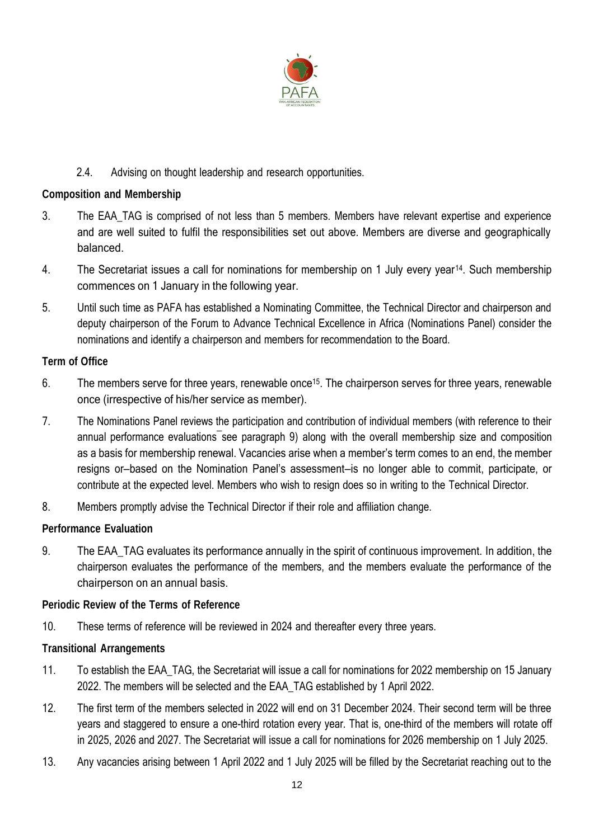

# 2.4. Advising on thought leadership and research opportunities.

#### **Composition and Membership**

- 3. The EAA\_TAG is comprised of not less than 5 members. Members have relevant expertise and experience and are well suited to fulfil the responsibilities set out above. Members are diverse and geographically balanced.
- 4. The Secretariat issues a call for nominations for membership on 1 July every year<sup>14</sup>. Such membership commences on 1 January in the following year.
- 5. Until such time as PAFA has established a Nominating Committee, the Technical Director and chairperson and deputy chairperson of the Forum to Advance Technical Excellence in Africa (Nominations Panel) consider the nominations and identify a chairperson and members for recommendation to the Board.

## **Term of Office**

- 6. The members serve for three years, renewable once<sup>15</sup>. The chairperson serves for three years, renewable once (irrespective of his/her service as member).
- 7. The Nominations Panel reviews the participation and contribution of individual members (with reference to their annual performance evaluations see paragraph 9) along with the overall membership size and composition as a basis for membership renewal. Vacancies arise when a member's term comes to an end, the member resigns or—based on the Nomination Panel's assessment—is no longer able to commit, participate, or contribute at the expected level. Members who wish to resign does so in writing to the Technical Director.
- 8. Members promptly advise the Technical Director if their role and affiliation change.

## **Performance Evaluation**

9. The EAA\_TAG evaluates its performance annually in the spirit of continuous improvement. In addition, the chairperson evaluates the performance of the members, and the members evaluate the performance of the chairperson on an annual basis.

#### **Periodic Review of the Terms of Reference**

10. These terms of reference will be reviewed in 2024 and thereafter every three years.

#### **Transitional Arrangements**

- 11. To establish the EAA\_TAG, the Secretariat will issue a call for nominations for 2022 membership on 15 January 2022. The members will be selected and the EAA\_TAG established by 1 April 2022.
- 12. The first term of the members selected in 2022 will end on 31 December 2024. Their second term will be three years and staggered to ensure a one-third rotation every year. That is, one-third of the members will rotate off in 2025, 2026 and 2027. The Secretariat will issue a call for nominations for 2026 membership on 1 July 2025.
- 13. Any vacancies arising between 1 April 2022 and 1 July 2025 will be filled by the Secretariat reaching out to the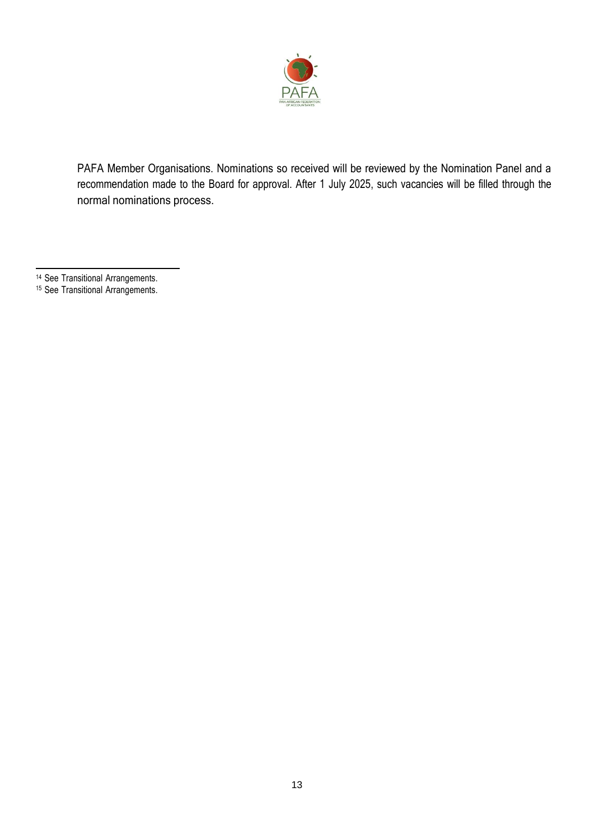

PAFA Member Organisations. Nominations so received will be reviewed by the Nomination Panel and a recommendation made to the Board for approval. After 1 July 2025, such vacancies will be filled through the normal nominations process.

- <sup>14</sup> See Transitional Arrangements.
- <sup>15</sup> See Transitional Arrangements.